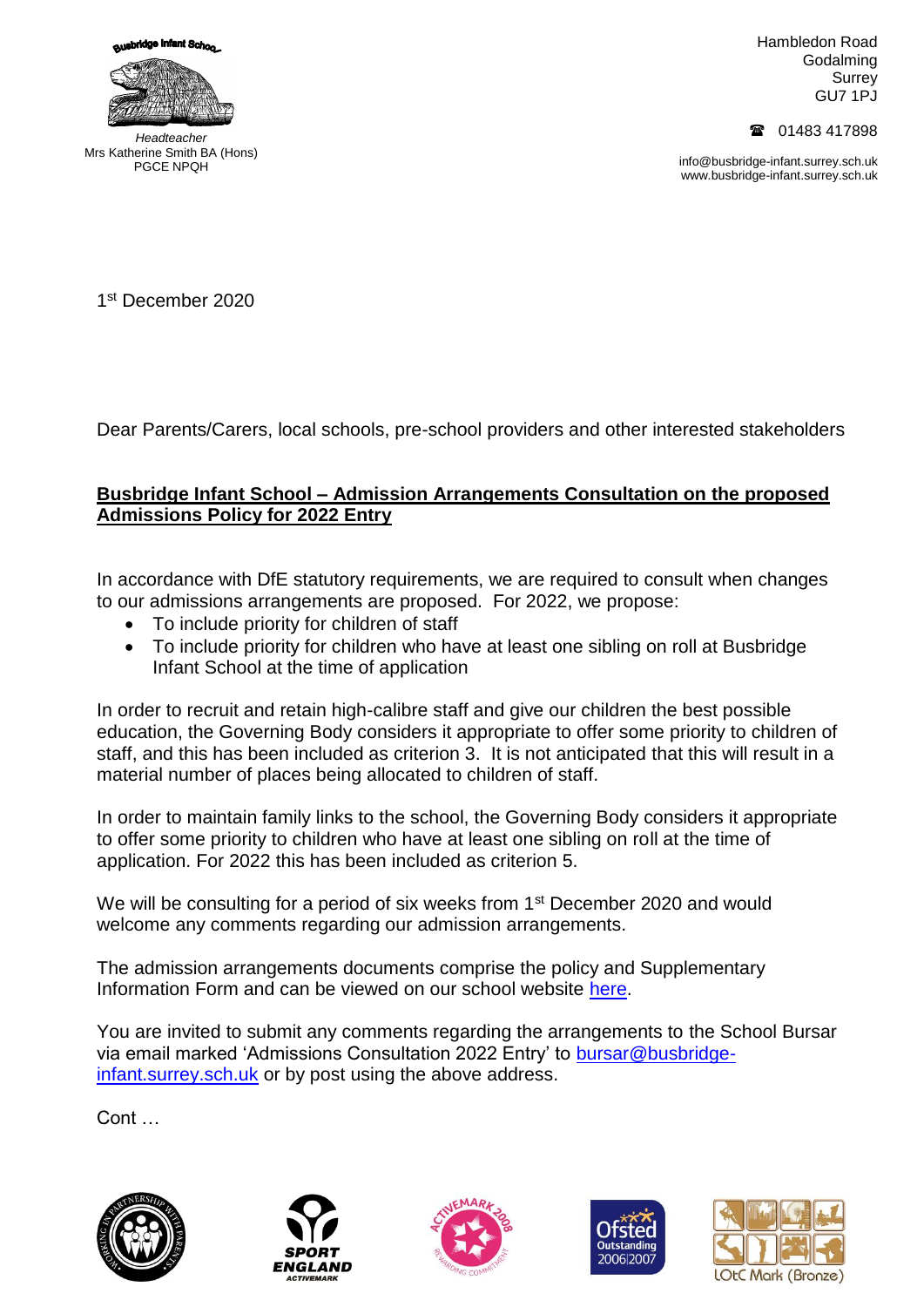



*Headteacher* Mrs Katherine Smith BA (Hons) PGCE NPQH

Hambledon Road Godalming **Surrey** GU7 1PJ

01483 417898

info@busbridge-infant.surrey.sch.uk www.busbridge-infant.surrey.sch.uk

1 st December 2020

Dear Parents/Carers, local schools, pre-school providers and other interested stakeholders

## **Busbridge Infant School – Admission Arrangements Consultation on the proposed Admissions Policy for 2022 Entry**

In accordance with DfE statutory requirements, we are required to consult when changes to our admissions arrangements are proposed. For 2022, we propose:

- To include priority for children of staff
- To include priority for children who have at least one sibling on roll at Busbridge Infant School at the time of application

In order to recruit and retain high-calibre staff and give our children the best possible education, the Governing Body considers it appropriate to offer some priority to children of staff, and this has been included as criterion 3. It is not anticipated that this will result in a material number of places being allocated to children of staff.

In order to maintain family links to the school, the Governing Body considers it appropriate to offer some priority to children who have at least one sibling on roll at the time of application. For 2022 this has been included as criterion 5.

We will be consulting for a period of six weeks from 1<sup>st</sup> December 2020 and would welcome any comments regarding our admission arrangements.

The admission arrangements documents comprise the policy and Supplementary Information Form and can be viewed on our school website [here.](http://www.busbridge-infant.surrey.sch.uk/website/information/34188)

You are invited to submit any comments regarding the arrangements to the School Bursar via email marked 'Admissions Consultation 2022 Entry' to [bursar@busbridge](mailto:bursar@busbridge-infant.surrey.sch.uk)[infant.surrey.sch.uk](mailto:bursar@busbridge-infant.surrey.sch.uk) or by post using the above address.

Cont …